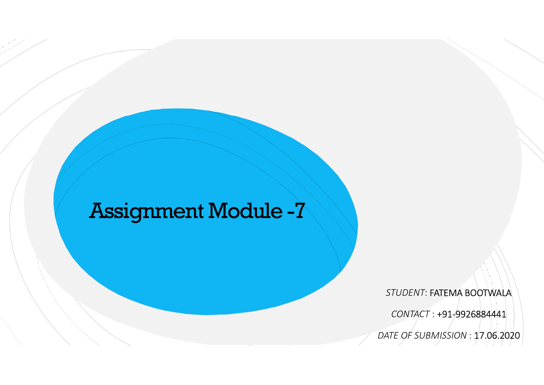## Assignment Module -7

STUDENT: FATEMA BOOTWALA

CONTACT : +91-9926884441

DATE OF SUBMISSION : 17.06.2020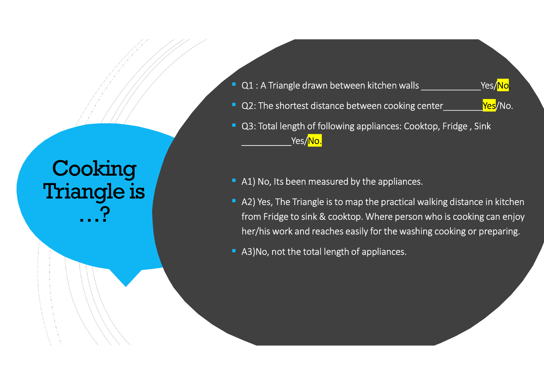## Cooking **Cooking** Triangle is **the contract of the contract of the contract of the contract of the contract of the contract of the** …?

- 
- 
- Q1 : A Triangle drawn between kitchen walls \_\_\_\_\_\_\_\_\_\_\_\_Yes/No. Q2: The shortest distance between cooking center\_\_\_\_\_\_\_\_Yes/No. Q3: Total length of following appliances: Cooktop, Fridge , Sink \_Yes/<mark>No.</mark>
- A1) No, Its been measured by the appliances.
- A2) Yes, The Triangle is to map the practical walking distance in kitchen from Fridge to sink & cooktop. Where person who is cooking can enjoy her/his work and reaches easily for the washing cooking or preparing.
- A3)No, not the total length of appliances.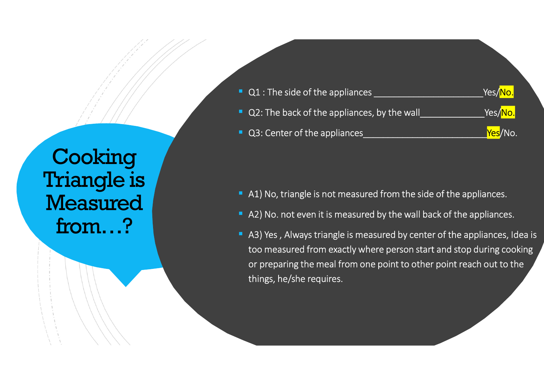# **Cooking** Triangle is **the contract of the contract of the contract of the contract of the contract of the contract of the Measured**

|                 | Q1 : The side of the appliances _<br>п                                         | Yes/ <mark>No.</mark>  |
|-----------------|--------------------------------------------------------------------------------|------------------------|
|                 | Q2: The back of the appliances, by the wall<br>ш                               | _Yes/ <mark>No.</mark> |
|                 | Q3: Center of the appliances<br>п                                              | Yes/No.                |
| Cooking         |                                                                                |                        |
| riangle is      |                                                                                |                        |
|                 | A1) No, triangle is not measured from the side of the appliances.<br>п         |                        |
| <b>Teasured</b> | A2) No. not even it is measured by the wall back of the appliances.<br>п       |                        |
|                 | A3) Yes, Always triangle is measured by center of the appliances, Idea is<br>п |                        |

- 
- 
- too measured from exactly where person start and stop during cooking or preparing the meal from one point to other point reach out to the things, he/she requires.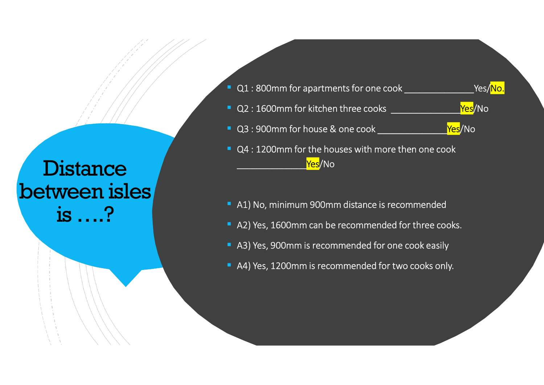### **Distance** between isles is ….?

- Q1 : 800mm for apartments for one cook \_\_\_\_\_\_\_\_\_\_\_\_\_\_\_\_\_\_\_\_Yes/<mark>No.</mark> Q2 : 1600mm for kitchen three cooks \_\_\_\_\_\_\_\_\_\_\_\_\_\_Yes/No Q3 : 900mm for house & one cook \_\_\_\_\_\_\_\_\_\_\_\_\_\_\_\_\_<mark>Yes</mark>/No Q4 : 1200mm for the houses with more then one cook<br>Ves/No
	- A1) No, minimum 900mm distance is recommended
	- A2) Yes, 1600mm can be recommended for three cooks.
	- A3) Yes, 900mm is recommended for one cook easily
	- A4) Yes, 1200mm is recommended for two cooks only.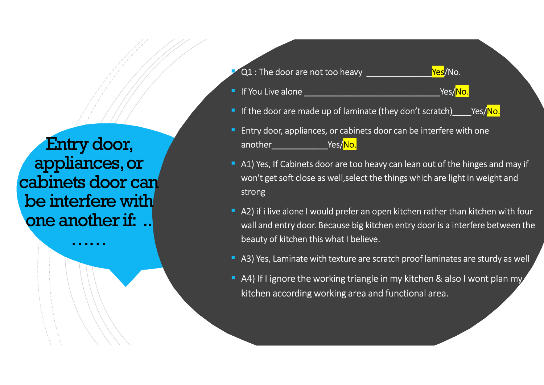Entry door, appliances, or cabinets door can Ol : The door are not to<br>
If You Live alone<br>
If You Live alone<br>
If the door are not to<br>
If You Live alone<br>
If the door are not to<br>
If the door are not to<br>
If the door are not to<br>
If the door are not to<br>
If the door are not one another if:

Q1 : The door are not too heavy \_\_\_\_\_\_\_\_\_\_\_\_\_\_\_\_\_\_\_\_Yes/No.

- 
- If the door are made up of laminate (they don't scratch) Yes/No.
- If You Live alone \_\_\_\_\_\_\_\_\_\_\_\_\_\_\_\_\_\_\_\_\_\_\_\_\_\_\_\_\_Yes/No. **Entry door, appliances, or cabinets door can be interfere with one**<br> **Entry door, appliances, or cabinets door can be interfere with one**<br> **Entry door, appliances, or cabinets door can be interfere with one**<br> **Entry door,** another\_\_\_\_\_\_\_\_\_\_\_\_Yes/No.
- 21 : The door are not too heavy <u>ves</u>/No.<br>
 If You Live alone <u>vestal and the property of the door are made up of laminate (they don't scratch) Yes/No.<br>
 Entry door, appliances, or cabinets door can be interfere with one</u> Q1 : The door are not too heavy <u>ves/No.</u><br>
If You Live alone <u>vecales are very set of the things which</u><br>
If the door are made up of laminate (they don't scratch) ves/No.<br>
Entry door, appliances, or cabinets door can be int strong
- …… beauty of kitchen this what I believe. **21** : The door are not too heavy <u>ves/No.</u><br>
• If You Live alone <u>vecales</u> than that (they don't scratch)  $\leq$  Yes/<mark>No.</mark><br>
• Entry door, appliances, or cabinets door can be interfere with one another  $\leq$  Yes/No.<br>
• A1) Q1 : The door are not too heavy <u>ves/No.</u><br>If You Live alone <u>vecause big kitchen versions</u> (Yes/<mark>No.</mark><br>If the door are made up of laminate (they don't scratch) ves/No.<br>Entry door, appliances, or cabinets door can be interfe A Entry door, appliances, or cabinets door can be interfere with one<br>
another
New Yes/No.<br>
A1) Yes, If Cabinets door are too heavy can lean out of the hinges and may if<br>
won't get soft close as well, select the things whi
	- A3) Yes, Laminate with texture are scratch proof laminates are sturdy as well
	- kitchen according working area and functional area.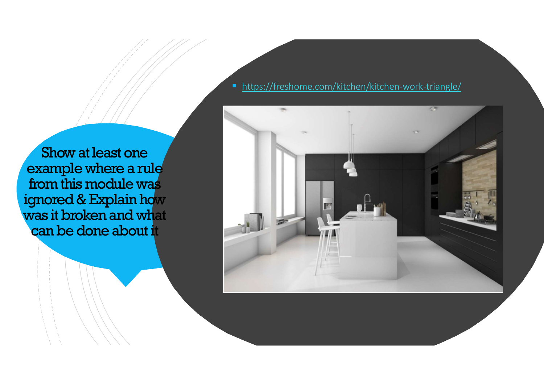Show at least one<br>example where a rule From this module was<br>
Show at least one<br>
example where a rule<br>
from this module was<br>
gnored & Explain how<br>
was it broken and what ignored & Explain how was it broken and what can be done about it

#### ■ https://freshome.com/kitchen/kitchen-work-triangle/